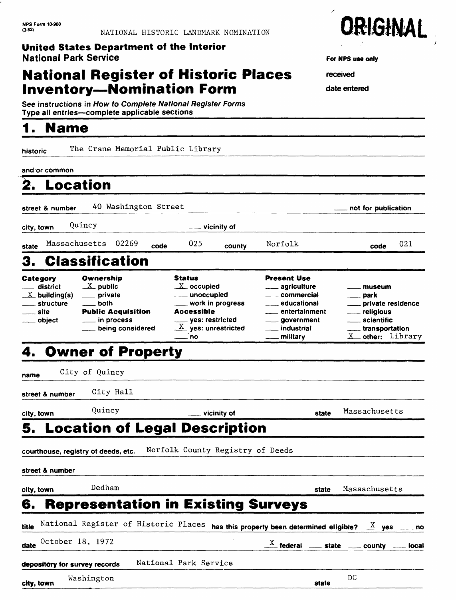## **National Register of Historic Places Inventory-Nomination Form**

See instructions in How to Complete National Register Forms Type all entries-complete applicable sections

## **1. Name**

historic The Crane Memorial Public Library

### and or common  $\blacksquare$ ➤

| 2.                                                                                                     | <b>Location</b>                                                                                                                                           |      |                                                                                                                                                                           |        |                                                                                                                                                                           |                                                                                                                                               |     |
|--------------------------------------------------------------------------------------------------------|-----------------------------------------------------------------------------------------------------------------------------------------------------------|------|---------------------------------------------------------------------------------------------------------------------------------------------------------------------------|--------|---------------------------------------------------------------------------------------------------------------------------------------------------------------------------|-----------------------------------------------------------------------------------------------------------------------------------------------|-----|
| street & number                                                                                        | 40 Washington Street                                                                                                                                      |      |                                                                                                                                                                           |        |                                                                                                                                                                           | not for publication                                                                                                                           |     |
| city, town                                                                                             | Quincy                                                                                                                                                    |      | ____ vicinity of                                                                                                                                                          |        |                                                                                                                                                                           |                                                                                                                                               |     |
| state                                                                                                  | Massachusetts 02269                                                                                                                                       | code | 025                                                                                                                                                                       | county | Norfolk                                                                                                                                                                   | code                                                                                                                                          | 021 |
| 3.                                                                                                     | <b>Classification</b>                                                                                                                                     |      |                                                                                                                                                                           |        |                                                                                                                                                                           |                                                                                                                                               |     |
| Category<br>district<br>$\sim$<br>$\mathbb{X}$ building(s)<br>____ structure<br>___ site<br>___ object | Ownership<br>$\underline{X}$ public<br><sub>-</sub> private<br><b>both</b><br><b>Public Acquisition</b><br><u>_</u> __ in process<br>___ being considered |      | <b>Status</b><br>$X$ occupied<br><u>_</u> ___ unoccupied<br>____ work in progress<br><b>Accessible</b><br>____ yes: restricted<br>$\underline{X}$ yes: unrestricted<br>no |        | <b>Present Use</b><br><u>_</u> ___ agriculture<br><u>_</u> __ commercial<br><u>_</u> ___ educational<br>entertainment<br>____ government<br>___ industrial<br>__ military | <u>. museum</u><br><u>_</u> __ park<br>____ private residence<br>___ religious<br>____ scientific<br>_____ transportation<br>X other: Library |     |

## **4. Owner of Property**

| name                                    | City of Quincy                       |                       |                                                                                |       |                                                                                    |  |
|-----------------------------------------|--------------------------------------|-----------------------|--------------------------------------------------------------------------------|-------|------------------------------------------------------------------------------------|--|
| street & number                         | City Hall                            |                       |                                                                                |       |                                                                                    |  |
| city, town                              | Quincy                               | ___ vicinity of       |                                                                                | state | Massachusetts                                                                      |  |
| <b>5. Location of Legal Description</b> |                                      |                       |                                                                                |       |                                                                                    |  |
| courthouse, registry of deeds, etc.     |                                      |                       | Norfolk County Registry of Deeds                                               |       |                                                                                    |  |
| street & number                         |                                      |                       |                                                                                |       |                                                                                    |  |
| city, town                              | Dedham                               |                       |                                                                                | state | Massachusetts                                                                      |  |
| 6.                                      |                                      |                       | <b>Representation in Existing Surveys</b>                                      |       |                                                                                    |  |
| title                                   | National Register of Historic Places |                       | has this property been determined eligible? $\frac{X}{X}$ yes $\frac{X}{X}$ no |       |                                                                                    |  |
| October 18, 1972<br>date                |                                      |                       |                                                                                |       | $\frac{X}{X}$ federal $\frac{X}{X}$ state $\frac{X}{X}$ county $\frac{X}{X}$ local |  |
| depository for survey records           |                                      | National Park Service |                                                                                |       |                                                                                    |  |
| city, town                              | Washington                           |                       |                                                                                | state | DC                                                                                 |  |



**For NFS use only**

received

date entered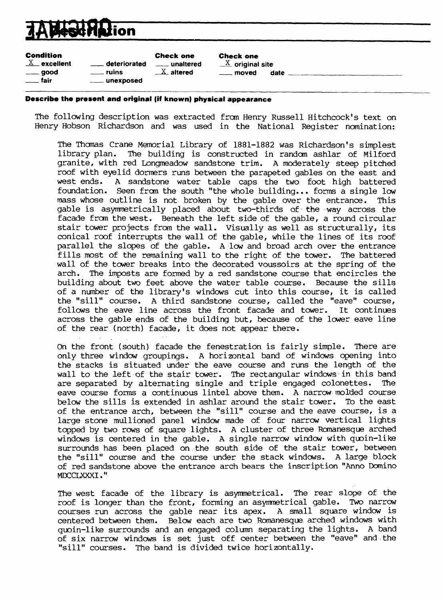# **ion**

Condition

|                           | <b>Check one</b> |
|---------------------------|------------------|
| <sub>—</sub> deteriorated | unaltered        |
| $\_$ ruins                | $X$ altered      |
| __ unexposed              |                  |

**Check one**  $=$  deteriorated  $=$  unaltered  $=$   $\frac{X}{X}$  original site  $\frac{X}{1}$  ruins altered the moved date  $\frac{X}{1}$  altered the moved date  $\frac{X}{1}$ 

### **Describe the present and original (if known) physical appearance**

The following description was extracted from Henry Russell Hitchcock's text on Henry Hobson Richardson and was used in the National Register nomination:

The Thomas Crane Memorial Library of 1881-1882 was Richardson's simplest library plan. The building is constructed in random ashlar of Milford granite, with red Longmeadow sandstone trim. A moderately steep pitched roof with eyelid dormers runs between the parapeted gables on the east and west ends. A sandstone water table caps the two foot high battered foundation. Seen from the south "the whole building... forms a single low mass whose outline is not broken by the gable over the entrance. This gable is asymmetrically placed about two-thirds of the way across the facade from the west. Beneath the left side of the gable, a round circular stair tower projects from the wall. Visually as well as structurally, its conical roof interrupts the wall of the gable, while the lines of its roof parallel the slopes of the gable. A low and broad arch over the entrance fills most of the remaining wall to the right of the tower. The battered wall of the tower breaks into the decorated voussoirs at the spring of the arch. The imposts are formed by a red sandstone course that encircles the building about two feet above the water table course. Because the sills of a number of the library's windows cut into this course, it is called the "sill" course. A third sandstone course, called the "eave" course, follows the eave line across the front facade and tower. It continues across the gable ends of the building but, because of the lower eave line of the rear (north) facade, it does not appear there.

On the front (south) facade the fenestration is fairly simple. There are only three window groupings. A horizontal band of windows opening into the stacks is situated under the eave course and runs the length of the wall to the left of the stair tower. The rectangular windows-in this band are separated by alternating single and triple engaged colonettes. The eave course forms a continuous lintel above them. A narrow molded course below the sills is extended in ashlar around the stair tower. To the east of the entrance arch, between the "sill" course and the eave course, is a large stone mullioned panel window made of four narrow vertical lights topped by two rows of square lights. A cluster of three Romanesque arched windows is centered in the gable. A single narrow window with quoin-like surrounds has been placed on the south side of the stair tower, between the "sill" course and the course under the stack windows. A large block of red sandstone above the entrance arch bears the inscription "Anno Domino MDCCLXXXI."

The west facade of the library is asymmetrical. The rear slope of the roof is longer than the front, forming an asymmetrical gable. Two narrow courses run across the gable near its apex. A small square window is centered between them. Below each are two Romanesque arched windows with quoin-like surrounds and an engaged column separating the lights. A band of six narrow windows is set just off center between the "eave" and the "sill" courses. The band is divided twice horizontally.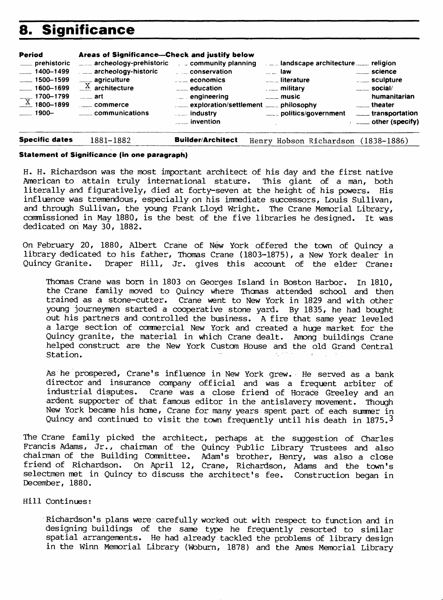## **8. Significance**

| <b>Period</b>                                                                                                        | Areas of Significance—Check and justify below                                                                                                                                        |                                                                                                                                                                    |                                                                                                                                                                                                                          |                                                                                                                                                         |
|----------------------------------------------------------------------------------------------------------------------|--------------------------------------------------------------------------------------------------------------------------------------------------------------------------------------|--------------------------------------------------------------------------------------------------------------------------------------------------------------------|--------------------------------------------------------------------------------------------------------------------------------------------------------------------------------------------------------------------------|---------------------------------------------------------------------------------------------------------------------------------------------------------|
| ___ prehistoric<br>$-1400 - 1499$<br>$\frac{1}{2}$ 1500-1599<br>$-1600 - 1699$<br>$\frac{X}{X}$ 1700-1799<br>$1900-$ | $\equiv$ archeology-prehistoric $\equiv$ community planning<br>archeology-historic conservation<br>$\frac{X}{X}$ agriculture<br>$\frac{1}{2}$ art<br>commerce<br>____ communications | $\overline{\phantom{a}}$ . $\overline{\phantom{a}}$ economics<br>$\frac{1}{2}$ education<br>$\mathbb{L}$ engineering<br>$\ldots$ industry<br><u>_</u> __ invention | $\overline{\phantom{a}}$ law<br>$\overline{\phantom{a}}$ and $\overline{\phantom{a}}$ and $\overline{\phantom{a}}$ interature<br><b>Example 1</b> military<br>$\overline{\phantom{a}}$ music<br>____ politics/government | ____ science<br>_____ sculpture<br>$\rule{1em}{0.15mm}$ social/<br>humanitarian<br>_____ theater<br>_____ transportation<br>$\sim$ ____ other (specify) |

**Specific dates** 1881-1882\_\_\_\_\_\_\_\_**Builder/Architect** Henry Hobson Richardson (1838-1886)

### **Statement of Significance (in one paragraph)**

H. H. Richardson was the most important architect of his day and the first native American to attain truly international stature. This giant of a man, both literally and figuratively, died at forty-seven at the height of his powers. His influence was tremendous, especially on his immediate successors, Louis Sullivan, and through Sullivan, the young Frank Lloyd Wright. The Crane Memorial Library, commissioned in May 1880, is the best of the five libraries he designed. It was dedicated on May 30, 1882.

On February 20, 1880, Albert Crane of New York offered the town of Quincy a library dedicated to his father, Thomas Crane (1803-1875), a New York dealer in Quincy Granite. Draper Hill, Jr. gives this account of the elder Crane:

Thomas Crane was bom in 1803 on Georges Island in Boston Harbor. In 1810, the Crane family moved to Quincy where Thomas attended school and then trained as a stone-cutter. Crane went to New York in 1829 and with other young journeymen started a cooperative stone yard. By 1835, he had bought out his partners and controlled the business. A fire that same year leveled a large section of commercial New York and created a huge market for the Quincy granite, the material in which Crane dealt. Among buildings Crane helped construct are the New York Custom House and the old Grand Central Station. The contract of the contract of the contract of the contract of the contract of the contract of the contract of the contract of the contract of the contract of the contract of the contract of the contract of the c

As he prospered, Crane's influence in New York grew. He served as a bank director and insurance company official and was a frequent arbiter of industrial disputes. Crane was a close friend of Horace Greeley and an ardent supporter of that famous editor in the antislavery movement. Though New York became his home, Crane for many years spent part of each summer in Quincy and continued to visit the town frequently until his death in 1875.<sup>3</sup>

The Crane family picked the architect, perhaps at the suggestion of Charles Francis Adams, Jr., chairman of the Quincy Public Library Trustees and also chairman of the Building Committee. Adam's brother, Henry, was also a close friend of Richardson. On April 12, Crane, Richardson, Adams and the town's selectmen met in Quincy to discuss the architect's fee. Construction began in December, 1880.

### Hill Continues:

Richardson's plans were carefully worked out with respect to function and in designing buildings of the same type he frequently resorted to similar spatial arrangements. He had already tackled the problems of library design in the Winn Memorial Library (Wbburn, 1878) and the Ames Memorial Library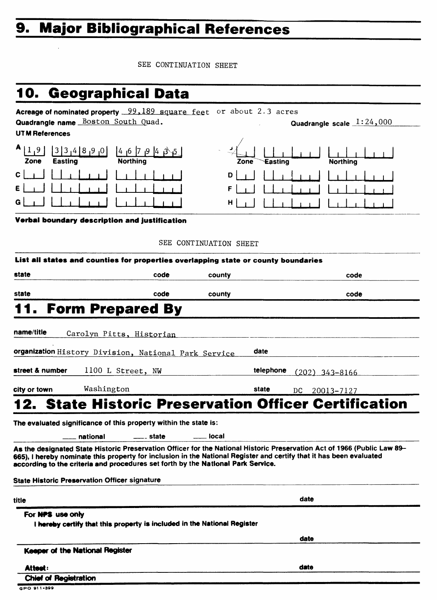# **9. Major Bibliographical References**

SEE CONTINUATION SHEET

# **10. Geographical Data**

| Acreage of nominated property 99,189 square feet or about 2.3 acres<br>Quadrangle name Boston South Quad. | Quadrangle scale $1:24,000$               |
|-----------------------------------------------------------------------------------------------------------|-------------------------------------------|
| <b>UTM References</b>                                                                                     |                                           |
| A<br>$\mathbf{3}$<br> 4 8<br>0، ق<br>14 16<br>و,<br>Easting<br><b>Northing</b><br>Zone                    | <b>Northing</b><br><b>Easting</b><br>Zone |
| $\mathbf{c}$<br>E<br>G                                                                                    | D<br>F.<br>$H$                            |
| Verbal boundary description and justification                                                             |                                           |
|                                                                                                           | SEE CONTINUATION SHEET                    |

|                 |                                                                                  | code               | county                | code                                                                                                                                                                                                                                            |
|-----------------|----------------------------------------------------------------------------------|--------------------|-----------------------|-------------------------------------------------------------------------------------------------------------------------------------------------------------------------------------------------------------------------------------------------|
| state           |                                                                                  | code               | county                | code                                                                                                                                                                                                                                            |
|                 | 11. Form Prepared By                                                             |                    |                       |                                                                                                                                                                                                                                                 |
| name/title      | Carolyn Pitts, Historian                                                         |                    |                       |                                                                                                                                                                                                                                                 |
|                 | organization History Division, National Park Service                             |                    |                       | date                                                                                                                                                                                                                                            |
| street & number | 1100 L Street, NW                                                                |                    |                       | telephone<br>$(202)$ 343-8166                                                                                                                                                                                                                   |
| city or town    | Washington                                                                       |                    |                       | state<br>DC.<br>20013-7127                                                                                                                                                                                                                      |
|                 |                                                                                  |                    |                       | <b>12. State Historic Preservation Officer Certification</b>                                                                                                                                                                                    |
|                 | The evaluated significance of this property within the state is:                 |                    |                       |                                                                                                                                                                                                                                                 |
|                 | <b>national</b>                                                                  | <u>___</u> _ state | <b>Property</b> local |                                                                                                                                                                                                                                                 |
|                 | according to the criteria and procedures set forth by the National Park Service. |                    |                       | As the designated State Historic Preservation Officer for the National Historic Preservation Act of 1966 (Public Law 89-<br>665), I hereby nominate this property for inclusion in the National Register and certify that it has been evaluated |
|                 | <b>State Historic Preservation Officer signature</b>                             |                    |                       |                                                                                                                                                                                                                                                 |
|                 |                                                                                  |                    |                       | date                                                                                                                                                                                                                                            |

**date**

**Keeper of the National Register**

**Attest? \_\_\_\_\_\_\_\_\_\_\_\_\_\_\_\_\_\_\_\_\_\_\_\_\_\_\_\_\_\_\_\_\_d«te** 

**Chief of Registration**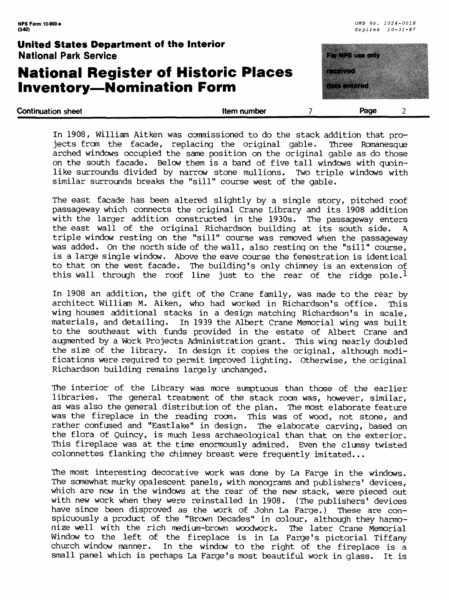## **National Register of Historic Places Inventory-Nomination Form**



| <b>Continuation sheet</b> | Item number | Page |  |
|---------------------------|-------------|------|--|
| ____                      |             |      |  |

In 1908, William Aitken was commissioned to do the stack addition that projects from the facade, replacing the original gable. Three Romanesque arched windows occupied the same position on the original gable as do those on the south facade. Below them is a band of five tall windows with quoinlike surrounds divided by narrow stone mullions. Two triple windows with similar surrounds breaks the "sill" course west of the gable.

The east facade has been altered slightly by a single story, pitched roof passageway which connects the original Crane Library and its 1908 addition with the larger addition constructed in the 1930s. The passageway enters the east wall of the original Richardson building at its south side. A triple window resting on the "sill" course was removed when the passageway was added. On the north side of the wall, also resting on the "sill" course, is a large single window. Above the eave course the fenestration is identical to that on the west facade. The building's only chimney is an extension of this wall through the roof line just to the rear of the ridge  $pole.$ <sup>1</sup>

In 1908 an addition, the gift of the Crane family, was made to the rear by architect William M. Aiken, who had worked in Richardson's office. This wing houses additional stacks in a design matching Richardson's in scale, materials, and detailing. In 1939 the Albert Crane Memorial wing was built to the southeast with funds provided in the estate of Albert Crane and augmented by a Work Projects Administration grant. This wing nearly doubled the size of the library. In design it copies the original, although modifications were required to permit improved lighting. Otherwise, the original Richardson buildinq remains largely unchanged.

The interior of the Library was more sumptuous than those of the earlier libraries. The general treatment of the stack room was, however, similar, as was also the general distribution of the plan. The most elaborate feature was the fireplace in the reading room. This was of wood, not stone, and rather confused and "Eastlake" in design. The elaborate carving, based on the flora of Quincy, is much less archaeological than that on the exterior. This fireplace was at the time enormously admired. Even the clumsy twisted colonnettes flanking the chimney breast were frequently imitated...

The most interesting decorative work was done by La Farge in the windows. The somewhat murky opalescent panels, with monograms and publishers' devices, which are now in the windows at the rear of the new stack, were pieced out with new work when they were reinstalled in 1908. (The publishers' devices have since been disproved as the work of John La Farge.) These are conspicuously a product of the "Brown Decades" in colour, although they harmonize well with the rich medium-brown woodwork. The later Crane Memorial Window to the left of the fireplace is in La Farge's pictorial Tiffany church window manner. In the window to the right of the fireplace is a small panel which is perhaps La Farge's most beautiful work in glass. It is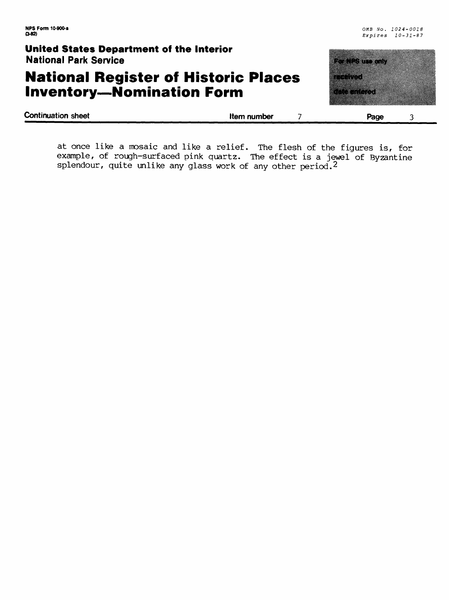## **National Register of Historic Places Inventory-Nomination Form**

| Page     |  |
|----------|--|
|          |  |
| aataa xa |  |
|          |  |
| mento di |  |
|          |  |
|          |  |
|          |  |
|          |  |
|          |  |

**Continuation sheet Item number Page** 

at once like a mosaic and like a relief. The flesh of the figures is, for example, of rough-surfaced pink quartz. The effect is a jewel of Byzantine splendour, quite unlike any glass work of any other period.<sup>2</sup>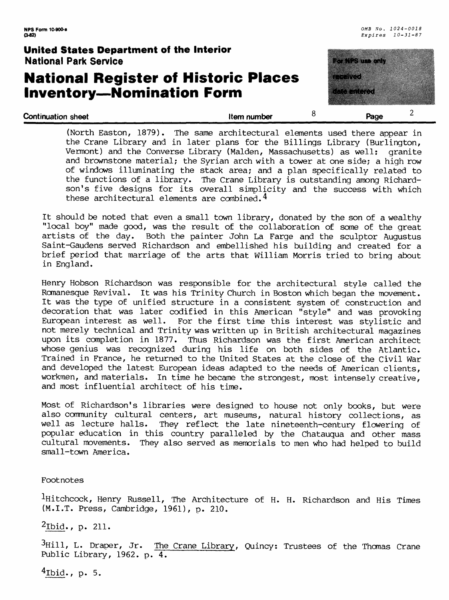## **National Register of Historic Places Inventory-Nomination Form**



(North Easton, 1879). The same architectural elements used there appear in the Crane Library and in later plans for the Billings Library (Burlington, Vermont) and the Converse Library (Maiden, Massachusetts) as well: granite and brownstone material; the Syrian arch with a tower at one side; a high row of windows illuminating the stack area; and a plan specifically related to the functions of a library. The Crane Library is outstanding among Richardson's five designs for its overall simplicity and the success with which these architectural elements are combined.4

It should be noted that even a small town library, donated by the son of a wealthy "local boy" made good, was the result of the collaboration of some of the great Both the painter John La Farge and the sculptor Augustus Saint-Gaudens served Richardson and embellished his building and created for a brief period that marriage of the arts that William Morris tried to bring about in England.

Henry Hobson Richardson was responsible for the architectural style called the Romanesque Revival. It was his Trinity Church in Boston which began the movement. It was the type of unified structure in a consistent system of construction and decoration that was later codified in this American "style" and was provoking European interest as well. For the first time this interest was stylistic and not merely technical and Trinity was written up in British architectural magazines upon its completion in 1877. Thus Richardson was the first American architect whose genius was recognized during his life on both sides of the Atlantic. Trained in France, he returned to the United States at the close of the Civil War and developed the latest European ideas adapted to the needs of American clients, workmen, and materials. In time he became the strongest, most intensely creative, and most influential architect of his time.

Most of Richardson's libraries were designed to house not only books, but were also community cultural centers, art museums, natural history collections, as well as lecture halls. They reflect the late nineteenth-century flowering of popular education in this country paralleled by the Chatauqua and other mass cultural movements. They also served as memorials to men who had helped to build small-town America.

Footnotes

l-Hitchcock, Henry Russell, The Architecture of H. H. Richardson and His Times (M.I.T. Press, Cambridge, 1961), p. 210.

 $^2$ Ibid., p. 211.

 $3Hi11$ , L. Draper, Jr. The Crane Library, Quincy: Trustees of the Thomas Crane Public Library, 1962. p. 4.

 $4$ Ibid., p. 5.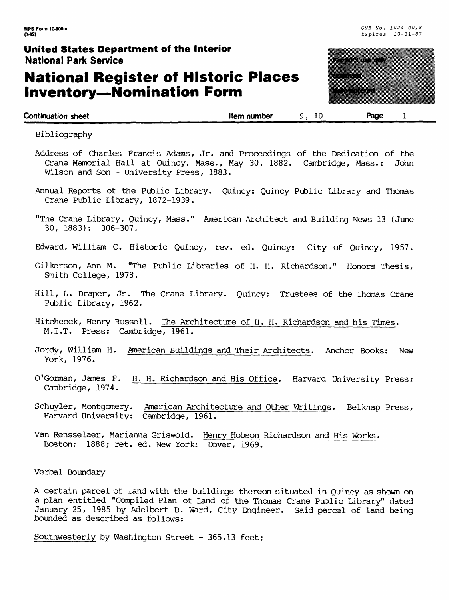## **National Register of Historic Places Inventory — Nomination Form**

**NPS Form 10-900-a** *0MB No. 1024-0018* Expires 10-31-87

# <u>terministration</u> a a shekarar 2009.<br>Tarihin Marekani

**Continuation sheet Continuation sheet 1 Continuation sheet 1 Page 1** 

Bibliography

- Address of Charles Francis Adams, Jr. and Proceedings of the Dedication of the Crane Memorial Hall at Quincy, Mass., May 30, 1882. Cambridge, Mass.: John Wilson and Son - University Press, 1883.
- Annual Reports of the Public Library. Quincy: Quincy Public Library and Thomas Crane Public Library, 1872-1939.
- "The Crane Library, Quincy, Mass." American Architect and Building News 13 (June 30, 1883): 306-307.
- Edward, William C. Historic Quincy, rev. ed. Quincy: City of Quincy, 1957.
- Gilkerson, Ann M. "The Public Libraries of H. H. Richardson." Honors Thesis, Smith College, 1978.
- Hill, L. Draper, Jr. The Crane Library. Quincy: Trustees of the Thomas Crane Public Library, 1962.
- Hitchcock, Henry Russell. The Architecture of H. H. Richardson and his Times. M.I.T. Press: Cambridge, 1961.
- Jordy, William H. American Buildings and Their Architects. Anchor Books: New York, 1976.
- O'Gorman, James F. H. H. Richardson and His Office. Harvard University Press: Cambridge, 1974.
- Schuyler, Montgomery. American Architecture and Other Writings. Bel knap Press, Harvard University: Cambridge, 1961.
- Van Rensselaer, Marianna Griswold. Henry Hobson Richardson and His Works. Boston: 1888; ret. ed. New York: Dover, 1969.

Verbal Boundary

A certain parcel of land with the buildings thereon situated in Quincy as shown on a plan entitled "Compiled Plan of Land of the Thomas Crane Public Library" dated January 25, 1985 by Adelbert D. Ward, City Engineer. Said parcel of land being bounded as described as follows:

Southwesterly by Washington Street - 365.13 feet;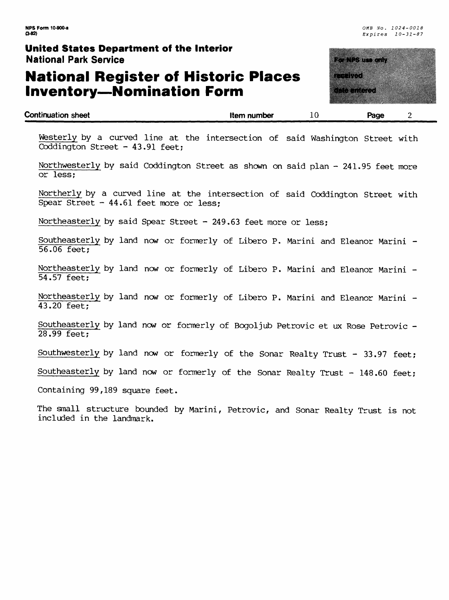## **National Register of Historic Places Inventory—Nomination Form**

a da wasan ƙasar

**(3-82)** *Expires 10-31-87*

| <b>Continuation sheet</b> | Item number | Page |  |
|---------------------------|-------------|------|--|
|                           |             |      |  |

Westerly by a curved line at the intersection of said Washington Street with Coddington Street - 43.91 feet;

Northwesterly by said Coddington Street as shown on said plan - 241.95 feet more or less;

Northerly by a curved line at the intersection of said Coddington Street with Spear Street - 44.61 feet more or less;

Northeasterly by said Spear Street - 249.63 feet more or less;

Southeasterly by land now or formerly of Libero P. Marini and Eleanor Marini - 56.06 feet;

Northeasterly by land now or formerly of Libero P. Marini and Eleanor Marini - 54.57 feet;

Northeasterly by land now or formerly of Libero P. Marini and Eleanor Marini - 43.20 feet;

Southeasterly by land now or formerly of Bogoljub Petrovic et ux Rose Petrovic - 28.99 feet;

Southwesterly by land now or formerly of the Sonar Realty Trust - 33.97 feet;

Southeasterly by land now or formerly of the Sonar Realty Trust - 148.60 feet;

Containing 99,189 square feet.

The small structure bounded by Marini, Petrovic, and Sonar Realty Trust is not included in the landmark.